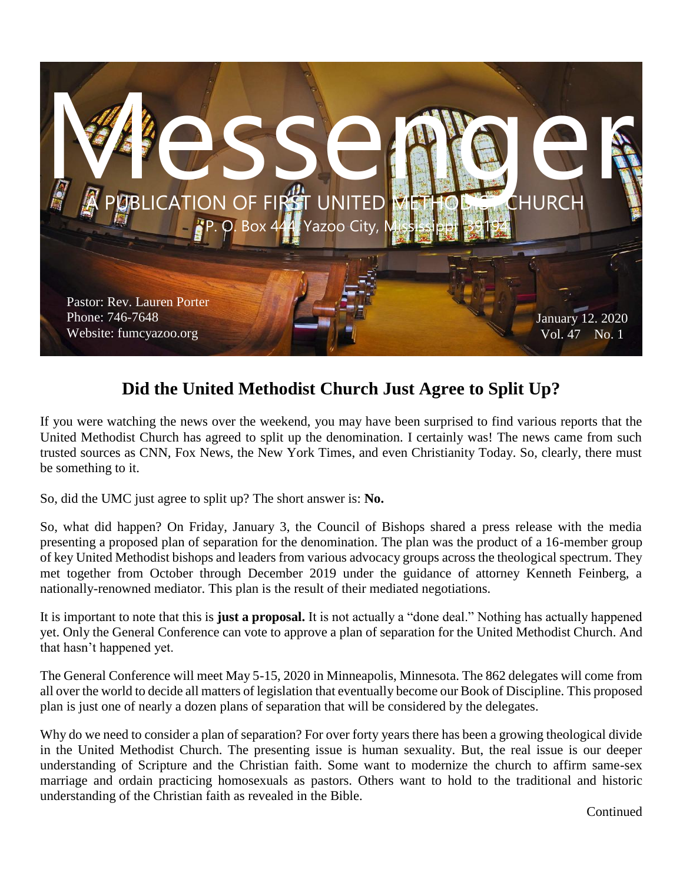

#### **Did the United Methodist Church Just Agree to Split Up?**

If you were watching the news over the weekend, you may have been surprised to find various reports that the United Methodist Church has agreed to split up the denomination. I certainly was! The news came from such trusted sources as CNN, Fox News, the New York Times, and even Christianity Today. So, clearly, there must be something to it.

So, did the UMC just agree to split up? The short answer is: **No.**

So, what did happen? On Friday, January 3, the Council of Bishops shared a press release with the media presenting a proposed plan of separation for the denomination. The plan was the product of a 16-member group of key United Methodist bishops and leaders from various advocacy groups across the theological spectrum. They met together from October through December 2019 under the guidance of attorney Kenneth Feinberg, a nationally-renowned mediator. This plan is the result of their mediated negotiations.

It is important to note that this is **just a proposal.** It is not actually a "done deal." Nothing has actually happened yet. Only the General Conference can vote to approve a plan of separation for the United Methodist Church. And that hasn't happened yet.

The General Conference will meet May 5-15, 2020 in Minneapolis, Minnesota. The 862 delegates will come from all over the world to decide all matters of legislation that eventually become our Book of Discipline. This proposed plan is just one of nearly a dozen plans of separation that will be considered by the delegates.

Why do we need to consider a plan of separation? For over forty years there has been a growing theological divide in the United Methodist Church. The presenting issue is human sexuality. But, the real issue is our deeper understanding of Scripture and the Christian faith. Some want to modernize the church to affirm same-sex marriage and ordain practicing homosexuals as pastors. Others want to hold to the traditional and historic understanding of the Christian faith as revealed in the Bible.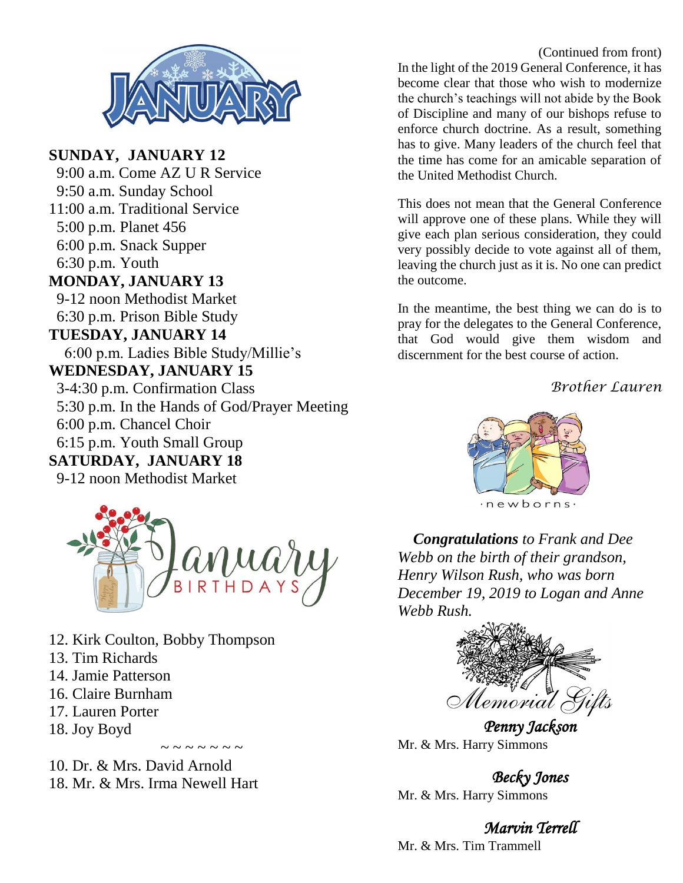

**SUNDAY, JANUARY 12** 9:00 a.m. Come AZ U R Service 9:50 a.m. Sunday School 11:00 a.m. Traditional Service 5:00 p.m. Planet 456 6:00 p.m. Snack Supper 6:30 p.m. Youth **MONDAY, JANUARY 13** 9-12 noon Methodist Market 6:30 p.m. Prison Bible Study **TUESDAY, JANUARY 14** 6:00 p.m. Ladies Bible Study/Millie's **WEDNESDAY, JANUARY 15** 3-4:30 p.m. Confirmation Class 5:30 p.m. In the Hands of God/Prayer Meeting 6:00 p.m. Chancel Choir 6:15 p.m. Youth Small Group **SATURDAY, JANUARY 18** 9-12 noon Methodist Market



 $\sim$  ~ ~ ~ ~ ~ ~

- 12. Kirk Coulton, Bobby Thompson
- 13. Tim Richards
- 14. Jamie Patterson
- 16. Claire Burnham
- 17. Lauren Porter
- 18. Joy Boyd

10. Dr. & Mrs. David Arnold 18. Mr. & Mrs. Irma Newell Hart

(Continued from front) In the light of the 2019 General Conference, it has become clear that those who wish to modernize the church's teachings will not abide by the Book of Discipline and many of our bishops refuse to enforce church doctrine. As a result, something has to give. Many leaders of the church feel that the time has come for an amicable separation of the United Methodist Church.

This does not mean that the General Conference will approve one of these plans. While they will give each plan serious consideration, they could very possibly decide to vote against all of them, leaving the church just as it is. No one can predict the outcome.

In the meantime, the best thing we can do is to pray for the delegates to the General Conference, that God would give them wisdom and discernment for the best course of action.

*Brother Lauren*



 *Congratulations to Frank and Dee Webb on the birth of their grandson, Henry Wilson Rush, who was born December 19, 2019 to Logan and Anne Webb Rush.*



*Penny Jackson*  Mr. & Mrs. Harry Simmons

*Becky Jones*  Mr. & Mrs. Harry Simmons

*Marvin Terrell*  Mr. & Mrs. Tim Trammell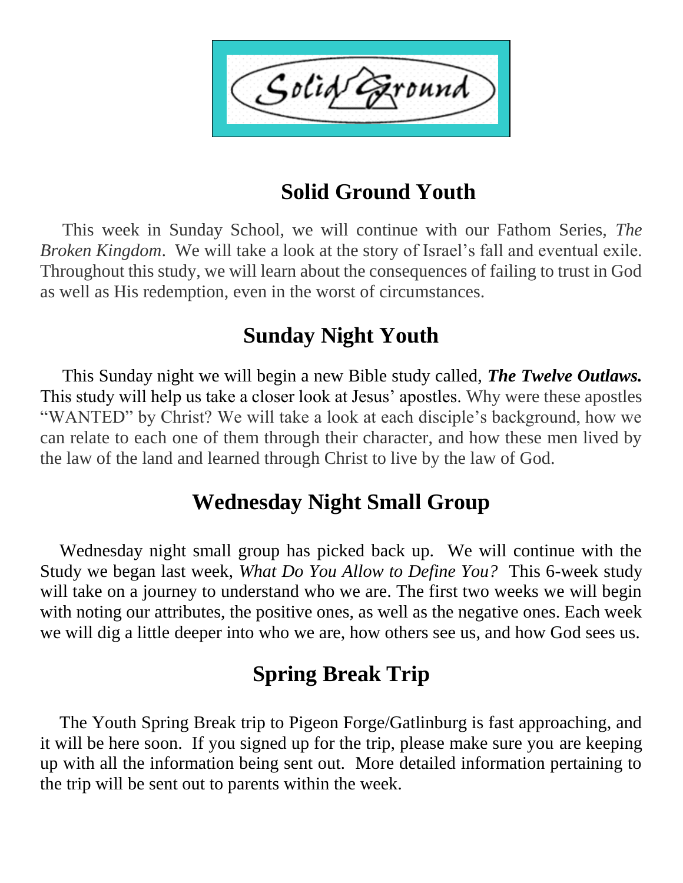Solid `ound

# **Solid Ground Youth**

 This week in Sunday School, we will continue with our Fathom Series, *The Broken Kingdom*. We will take a look at the story of Israel's fall and eventual exile. Throughout this study, we will learn about the consequences of failing to trust in God as well as His redemption, even in the worst of circumstances.

# **Sunday Night Youth**

 This Sunday night we will begin a new Bible study called, *The Twelve Outlaws.* This study will help us take a closer look at Jesus' apostles. Why were these apostles "WANTED" by Christ? We will take a look at each disciple's background, how we can relate to each one of them through their character, and how these men lived by the law of the land and learned through Christ to live by the law of God.

# **Wednesday Night Small Group**

 Wednesday night small group has picked back up. We will continue with the Study we began last week, *What Do You Allow to Define You?* This 6-week study will take on a journey to understand who we are. The first two weeks we will begin with noting our attributes, the positive ones, as well as the negative ones. Each week we will dig a little deeper into who we are, how others see us, and how God sees us.

# **Spring Break Trip**

 The Youth Spring Break trip to Pigeon Forge/Gatlinburg is fast approaching, and it will be here soon. If you signed up for the trip, please make sure you are keeping up with all the information being sent out. More detailed information pertaining to the trip will be sent out to parents within the week.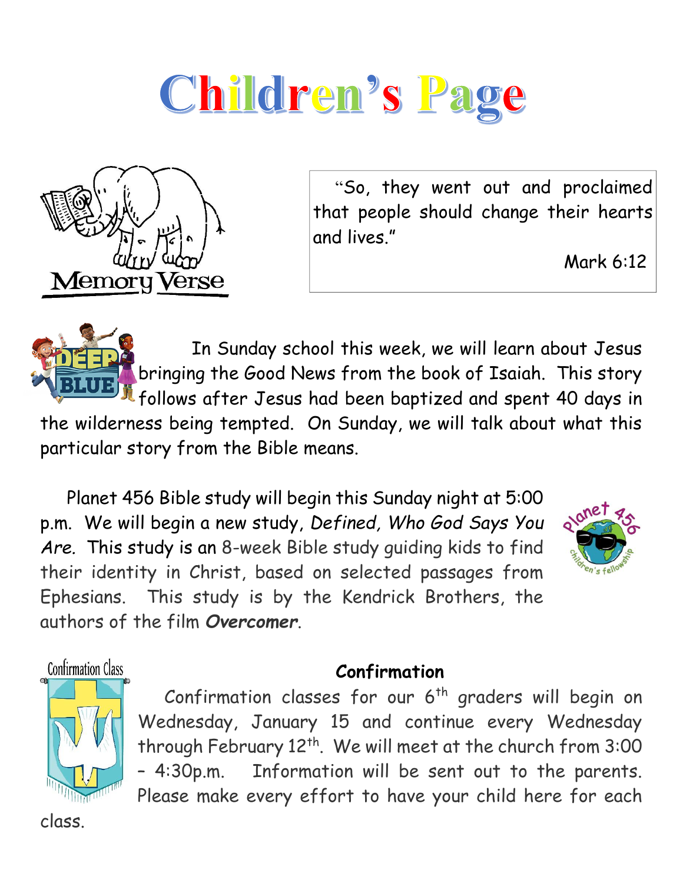# Children's Page



 "So, they went out and proclaimed that people should change their hearts and lives."

Mark 6:12

 In Sunday school this week, we will learn about Jesus bringing the Good News from the book of Isaiah. This story follows after Jesus had been baptized and spent 40 days in the wilderness being tempted. On Sunday, we will talk about what this

particular story from the Bible means.

 Planet 456 Bible study will begin this Sunday night at 5:00 p.m. We will begin a new study, *Defined, Who God Says You Are.* This study is an 8-week Bible study guiding kids to find their identity in Christ, based on selected passages from Ephesians. This study is by the Kendrick Brothers, the authors of the film *Overcomer*.



**Confirmation Class** 



# **Confirmation**

Confirmation classes for our  $6<sup>th</sup>$  graders will begin on Wednesday, January 15 and continue every Wednesday through February 12<sup>th</sup>. We will meet at the church from 3:00 – 4:30p.m. Information will be sent out to the parents. Please make every effort to have your child here for each

class.